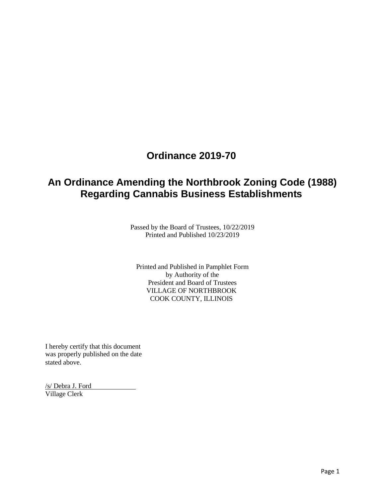## **Ordinance 2019-70**

# **An Ordinance Amending the Northbrook Zoning Code (1988) Regarding Cannabis Business Establishments**

Passed by the Board of Trustees, 10/22/2019 Printed and Published 10/23/2019

Printed and Published in Pamphlet Form by Authority of the President and Board of Trustees VILLAGE OF NORTHBROOK COOK COUNTY, ILLINOIS

I hereby certify that this document was properly published on the date stated above.

/s/ Debra J. Ford Village Clerk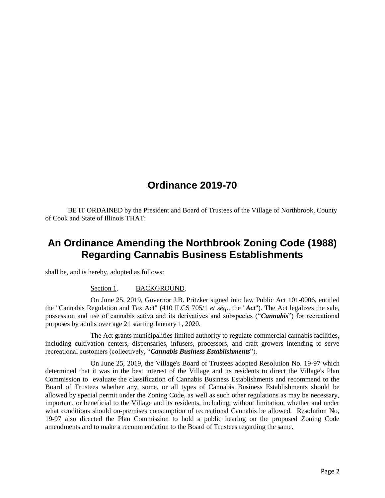## **Ordinance 2019-70**

BE IT ORDAINED by the President and Board of Trustees of the Village of Northbrook, County of Cook and State of Illinois THAT:

### **An Ordinance Amending the Northbrook Zoning Code (1988) Regarding Cannabis Business Establishments**

shall be, and is hereby, adopted as follows:

#### Section 1. BACKGROUND.

On June 25, 2019, Governor J.B. Pritzker signed into law Public Act 101-0006, entitled the "Cannabis Regulation and Tax Act" (410 ILCS 705/1 *et seq*., the "*Act*"). The Act legalizes the sale, possession and use of cannabis sativa and its derivatives and subspecies ("*Cannabis*") for recreational purposes by adults over age 21 starting January 1, 2020.

The Act grants municipalities limited authority to regulate commercial cannabis facilities, including cultivation centers, dispensaries, infusers, processors, and craft growers intending to serve recreational customers (collectively, "*Cannabis Business Establishments*").

On June 25, 2019, the Village's Board of Trustees adopted Resolution No. 19-97 which determined that it was in the best interest of the Village and its residents to direct the Village's Plan Commission to evaluate the classification of Cannabis Business Establishments and recommend to the Board of Trustees whether any, some, or all types of Cannabis Business Establishments should be allowed by special permit under the Zoning Code, as well as such other regulations as may be necessary, important, or beneficial to the Village and its residents, including, without limitation, whether and under what conditions should on-premises consumption of recreational Cannabis be allowed. Resolution No, 19-97 also directed the Plan Commission to hold a public hearing on the proposed Zoning Code amendments and to make a recommendation to the Board of Trustees regarding the same.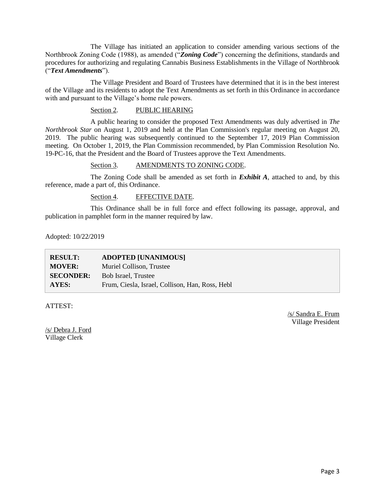The Village has initiated an application to consider amending various sections of the Northbrook Zoning Code (1988), as amended ("*Zoning Code*") concerning the definitions, standards and procedures for authorizing and regulating Cannabis Business Establishments in the Village of Northbrook ("*Text Amendments*").

The Village President and Board of Trustees have determined that it is in the best interest of the Village and its residents to adopt the Text Amendments as set forth in this Ordinance in accordance with and pursuant to the Village's home rule powers.

#### Section 2. PUBLIC HEARING

A public hearing to consider the proposed Text Amendments was duly advertised in *The Northbrook Star* on August 1, 2019 and held at the Plan Commission's regular meeting on August 20, 2019. The public hearing was subsequently continued to the September 17, 2019 Plan Commission meeting. On October 1, 2019, the Plan Commission recommended, by Plan Commission Resolution No. 19-PC-16, that the President and the Board of Trustees approve the Text Amendments.

#### Section 3. AMENDMENTS TO ZONING CODE.

The Zoning Code shall be amended as set forth in *Exhibit A*, attached to and, by this reference, made a part of, this Ordinance.

#### Section 4. EFFECTIVE DATE.

This Ordinance shall be in full force and effect following its passage, approval, and publication in pamphlet form in the manner required by law.

Adopted: 10/22/2019

| <b>RESULT:</b>   | <b>ADOPTED [UNANIMOUS]</b>                      |
|------------------|-------------------------------------------------|
| <b>MOVER:</b>    | Muriel Collison, Trustee                        |
| <b>SECONDER:</b> | <b>Bob Israel, Trustee</b>                      |
| AYES:            | Frum, Ciesla, Israel, Collison, Han, Ross, Hebl |

ATTEST:

/s/ Sandra E. Frum Village President

/s/ Debra J. Ford Village Clerk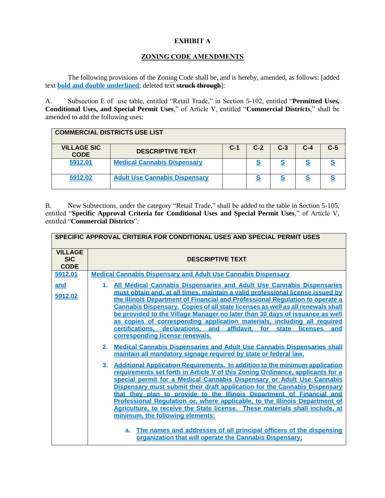### **EXHIBIT A**

### **ZONING CODE AMENDMENTS**

The following provisions of the Zoning Code shall be, and is hereby, amended, as follows: [added text **bold and double underlined**; deleted text **struck through**]:

A. Subsection E of use table, entitled "Retail Trade," in Section 5-102, entitled "**Permitted Uses, Conditional Uses, and Special Permit Uses**," of Article V, entitled "**Commercial Districts**," shall be amended to add the following uses:

| <b>COMMERCIAL DISTRICTS USE LIST</b> |                                      |       |       |       |       |       |
|--------------------------------------|--------------------------------------|-------|-------|-------|-------|-------|
| <b>VILLAGE SIC</b><br><b>CODE</b>    | <b>DESCRIPTIVE TEXT</b>              | $C-1$ | $C-2$ | $C-3$ | $C-4$ | $C-5$ |
| 5912.01                              | <b>Medical Cannabis Dispensary</b>   |       | S     |       |       |       |
| 5912.02                              | <b>Adult Use Cannabis Dispensary</b> |       |       |       |       |       |

B. New Subsections, under the category "Retail Trade," shall be added to the table in Section 5-105, entitled "**Specific Approval Criteria for Conditional Uses and Special Permit Uses**," of Article V, entitled "**Commercial Districts**":

|                                             | SPECIFIC APPROVAL CRITERIA FOR CONDITIONAL USES AND SPECIAL PERMIT USES                                                                                                                                                                                                                                                                                                                                                                                                                                                                                                                                                    |
|---------------------------------------------|----------------------------------------------------------------------------------------------------------------------------------------------------------------------------------------------------------------------------------------------------------------------------------------------------------------------------------------------------------------------------------------------------------------------------------------------------------------------------------------------------------------------------------------------------------------------------------------------------------------------------|
| <b>VILLAGE</b><br><b>SIC</b><br><b>CODE</b> | <b>DESCRIPTIVE TEXT</b>                                                                                                                                                                                                                                                                                                                                                                                                                                                                                                                                                                                                    |
| 5912.01                                     | <b>Medical Cannabis Dispensary and Adult Use Cannabis Dispensary</b>                                                                                                                                                                                                                                                                                                                                                                                                                                                                                                                                                       |
| and<br>5912.02                              | All Medical Cannabis Dispensaries and Adult Use Cannabis Dispensaries<br>1.<br>must obtain and, at all times, maintain a valid professional license issued by<br>the Illinois Department of Financial and Professional Regulation to operate a<br><b>Cannabis Dispensary. Copies of all state licenses as well as all renewals shall</b><br>be provided to the Village Manager no later than 30 days of issuance as well<br>as copies of corresponding application materials, including all required<br>declarations, and<br>certifications,<br>affidavit,<br>state<br>for<br><b>licenses</b><br>and                       |
|                                             | corresponding license renewals.                                                                                                                                                                                                                                                                                                                                                                                                                                                                                                                                                                                            |
|                                             | 2.<br><b>Medical Cannabis Dispensaries and Adult Use Cannabis Dispensaries shall</b><br>maintain all mandatory signage required by state or federal law.                                                                                                                                                                                                                                                                                                                                                                                                                                                                   |
|                                             | <b>Additional Application Requirements. In addition to the minimum application</b><br>3 <sub>1</sub><br>requirements set forth in Article V of this Zoning Ordinance, applicants for a<br>special permit for a Medical Cannabis Dispensary or Adult Use Cannabis<br>Dispensary must submit their draft application for the Cannabis Dispensary<br>that they plan to provide to the Illinois Department of Financial and<br>Professional Regulation or, where applicable, to the Illinois Department of<br>Agriculture, to receive the State license. These materials shall include, at<br>minimum, the following elements: |
|                                             | The names and addresses of all principal officers of the dispensing<br>a.<br>organization that will operate the Cannabis Dispensary:                                                                                                                                                                                                                                                                                                                                                                                                                                                                                       |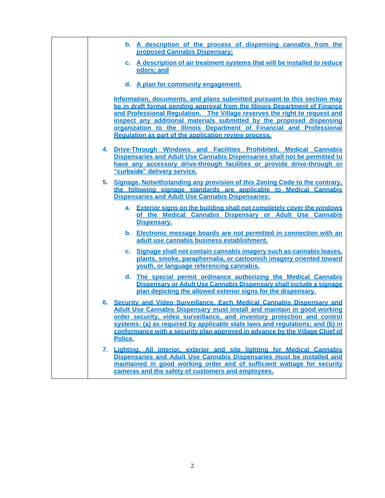|    | b. A description of the process of dispensing cannabis from the<br>proposed Cannabis Dispensary:                                                                                                                                                                                                                                                                                                                                                 |
|----|--------------------------------------------------------------------------------------------------------------------------------------------------------------------------------------------------------------------------------------------------------------------------------------------------------------------------------------------------------------------------------------------------------------------------------------------------|
|    | c. A description of air treatment systems that will be installed to reduce<br>odors; and                                                                                                                                                                                                                                                                                                                                                         |
|    | d. A plan for community engagement.                                                                                                                                                                                                                                                                                                                                                                                                              |
|    | Information, documents, and plans submitted pursuant to this section may<br>be in draft format pending approval from the Illinois Department of Finance<br>and Professional Regulation. The Village reserves the right to request and<br>inspect any additional materials submitted by the proposed dispensing<br>organization to the Illinois Department of Financial and Professional<br>Regulation as part of the application review process. |
|    | 4. Drive-Through Windows and Facilities Prohibited. Medical Cannabis<br>Dispensaries and Adult Use Cannabis Dispensaries shall not be permitted to<br>have any accessory drive-through facilities or provide drive-through or<br>"curbside" delivery service.                                                                                                                                                                                    |
|    | 5. Signage. Notwithstanding any provision of this Zoning Code to the contrary.<br>the following signage standards are applicable to Medical Cannabis<br><b>Dispensaries and Adult Use Cannabis Dispensaries:</b>                                                                                                                                                                                                                                 |
|    | a. Exterior signs on the building shall not completely cover the windows<br>of the Medical Cannabis Dispensary or Adult Use Cannabis<br>Dispensary.                                                                                                                                                                                                                                                                                              |
|    | b. Electronic message boards are not permitted in connection with an<br>adult use cannabis business establishment.                                                                                                                                                                                                                                                                                                                               |
|    | Signage shall not contain cannabis imagery such as cannabis leaves,<br>C.<br>plants, smoke, paraphernalia, or cartoonish imagery oriented toward<br>youth, or language referencing cannabis.                                                                                                                                                                                                                                                     |
|    | The special permit ordinance authorizing the Medical Cannabis<br>d. I<br>Dispensary or Adult Use Cannabis Dispensary shall include a signage<br>plan depicting the allowed exterior signs for the dispensary.                                                                                                                                                                                                                                    |
|    | 6. Security and Video Surveillance. Each Medical Cannabis Dispensary and<br><b>Adult Use Cannabis Dispensary must install and maintain in good working</b><br>order security, video surveillance, and inventory protection and control<br>systems: (a) as required by applicable state laws and regulations; and (b) in<br>conformance with a security plan approved in advance by the Village Chief of<br>Police.                               |
| 7. | Lighting. All interior, exterior and site lighting for Medical Cannabis<br>Dispensaries and Adult Use Cannabis Dispensaries must be installed and<br>maintained in good working order and of sufficient wattage for security<br>cameras and the safety of customers and employees.                                                                                                                                                               |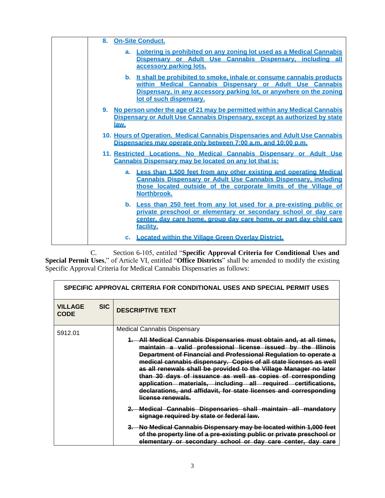|  | 8.<br><b>On-Site Conduct.</b>                                                                                                                                                                                                         |
|--|---------------------------------------------------------------------------------------------------------------------------------------------------------------------------------------------------------------------------------------|
|  | a. Loitering is prohibited on any zoning lot used as a Medical Cannabis<br>Dispensary or Adult Use Cannabis Dispensary, including all<br>accessory parking lots.                                                                      |
|  | b. It shall be prohibited to smoke, inhale or consume cannabis products<br>within Medical Cannabis Dispensary or Adult Use Cannabis<br>Dispensary, in any accessory parking lot, or anywhere on the zoning<br>lot of such dispensary. |
|  | No person under the age of 21 may be permitted within any Medical Cannabis<br>9.<br>Dispensary or Adult Use Cannabis Dispensary, except as authorized by state<br><u>law.</u>                                                         |
|  | 10. Hours of Operation. Medical Cannabis Dispensaries and Adult Use Cannabis<br>Dispensaries may operate only between 7:00 a.m. and 10:00 p.m.                                                                                        |
|  | 11. Restricted Locations. No Medical Cannabis Dispensary or Adult Use<br>Cannabis Dispensary may be located on any lot that is:                                                                                                       |
|  | Less than 1,500 feet from any other existing and operating Medical<br>$a_{-}$<br>Cannabis Dispensary or Adult Use Cannabis Dispensary, including<br>those located outside of the corporate limits of the Village of<br>Northbrook.    |
|  | b. Less than 250 feet from any lot used for a pre-existing public or<br>private preschool or elementary or secondary school or day care<br>center, day care home, group day care home, or part day child care<br>facility.            |
|  | c. Located within the Village Green Overlay District.                                                                                                                                                                                 |

C. Section 6-105, entitled "**Specific Approval Criteria for Conditional Uses and Special Permit Uses**," of Article VI, entitled "**Office Districts**" shall be amended to modify the existing Specific Approval Criteria for Medical Cannabis Dispensaries as follows:

|                               | SPECIFIC APPROVAL CRITERIA FOR CONDITIONAL USES AND SPECIAL PERMIT USES |                                                                                                                                                                                                                                                                                                                                                                                                                                                                                                                                                                             |  |
|-------------------------------|-------------------------------------------------------------------------|-----------------------------------------------------------------------------------------------------------------------------------------------------------------------------------------------------------------------------------------------------------------------------------------------------------------------------------------------------------------------------------------------------------------------------------------------------------------------------------------------------------------------------------------------------------------------------|--|
| <b>VILLAGE</b><br><b>CODE</b> | <b>SIC</b>                                                              | <b>DESCRIPTIVE TEXT</b>                                                                                                                                                                                                                                                                                                                                                                                                                                                                                                                                                     |  |
| 5912.01                       |                                                                         | <b>Medical Cannabis Dispensary</b>                                                                                                                                                                                                                                                                                                                                                                                                                                                                                                                                          |  |
|                               |                                                                         | 1. All Medical Cannabis Dispensaries must obtain and, at all times,<br>maintain a valid professional license issued by the Illinois<br>Department of Financial and Professional Regulation to operate a<br>medical cannabis dispensary. Copies of all state licenses as well<br>as all renewals shall be provided to the Village Manager no later<br>than 30 days of issuance as well as copies of corresponding<br>application materials, including all required certifications,<br>declarations, and affidavit, for state licenses and corresponding<br>license renewals. |  |
|                               |                                                                         | 2. Medical Cannabis Dispensaries shall maintain all mandatory<br>signage required by state or federal law.                                                                                                                                                                                                                                                                                                                                                                                                                                                                  |  |
|                               |                                                                         | 3. No Medical Cannabis Dispensary may be located within 1,000 feet<br>of the property line of a pre-existing public or private preschool or<br>elementary or secondary school or day care center, day care                                                                                                                                                                                                                                                                                                                                                                  |  |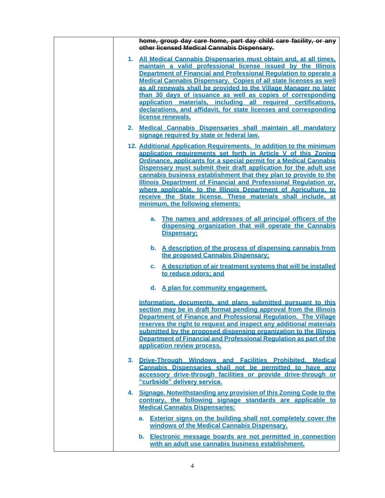| home, group day care home, part day child care facility, or any<br>other licensed Medical Cannabis Dispensary.                                                                                                                                                                                                                                                                                                                                                                                                                                                                                                                                                                                                                        |
|---------------------------------------------------------------------------------------------------------------------------------------------------------------------------------------------------------------------------------------------------------------------------------------------------------------------------------------------------------------------------------------------------------------------------------------------------------------------------------------------------------------------------------------------------------------------------------------------------------------------------------------------------------------------------------------------------------------------------------------|
| 1. All Medical Cannabis Dispensaries must obtain and, at all times,<br>maintain a valid professional license issued by the Illinois<br>Department of Financial and Professional Regulation to operate a<br><b>Medical Cannabis Dispensary. Copies of all state licenses as well</b><br>as all renewals shall be provided to the Village Manager no later<br>than 30 days of issuance as well as copies of corresponding<br>application materials, including all required certifications,<br>declarations, and affidavit, for state licenses and corresponding<br>license renewals.                                                                                                                                                    |
| 2. Medical Cannabis Dispensaries shall maintain all mandatory<br>signage required by state or federal law.                                                                                                                                                                                                                                                                                                                                                                                                                                                                                                                                                                                                                            |
| 12. Additional Application Requirements. In addition to the minimum<br>application requirements set forth in Article V of this Zoning<br>Ordinance, applicants for a special permit for a Medical Cannabis<br>Dispensary must submit their draft application for the adult use<br>cannabis business establishment that they plan to provide to the<br>Illinois Department of Financial and Professional Regulation or,<br>where applicable, to the Illinois Department of Agriculture, to<br>receive the State license. These materials shall include, at<br>minimum, the following elements:<br>a. The names and addresses of all principal officers of the<br>dispensing organization that will operate the Cannabis<br>Dispensary: |
| b. A description of the process of dispensing cannabis from<br>the proposed Cannabis Dispensary:<br>c. A description of air treatment systems that will be installed<br>to reduce odors: and                                                                                                                                                                                                                                                                                                                                                                                                                                                                                                                                          |
| d. A plan for community engagement.                                                                                                                                                                                                                                                                                                                                                                                                                                                                                                                                                                                                                                                                                                   |
| Information, documents, and plans submitted pursuant to this<br>section may be in draft format pending approval from the Illinois<br>Department of Finance and Professional Regulation. The Village<br>reserves the right to request and inspect any additional materials<br>submitted by the proposed dispensing organization to the Illinois<br>Department of Financial and Professional Regulation as part of the<br>application review process.                                                                                                                                                                                                                                                                                   |
| 3. Drive-Through Windows and Facilities Prohibited. Medical<br>Cannabis Dispensaries shall not be permitted to have any<br>accessory drive-through facilities or provide drive-through or<br>"curbside" delivery service.                                                                                                                                                                                                                                                                                                                                                                                                                                                                                                             |
| 4. Signage. Notwithstanding any provision of this Zoning Code to the<br>contrary, the following signage standards are applicable to<br><b>Medical Cannabis Dispensaries:</b>                                                                                                                                                                                                                                                                                                                                                                                                                                                                                                                                                          |
| a. Exterior signs on the building shall not completely cover the<br>windows of the Medical Cannabis Dispensary.                                                                                                                                                                                                                                                                                                                                                                                                                                                                                                                                                                                                                       |
| b. Electronic message boards are not permitted in connection<br>with an adult use cannabis business establishment.                                                                                                                                                                                                                                                                                                                                                                                                                                                                                                                                                                                                                    |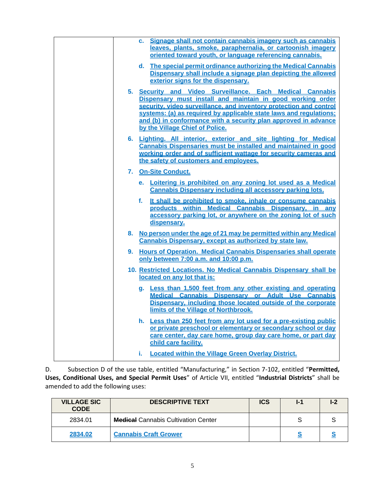| Signage shall not contain cannabis imagery such as cannabis<br>C.<br>leaves, plants, smoke, paraphernalia, or cartoonish imagery<br>oriented toward youth, or language referencing cannabis.                                                                                                                                                                              |
|---------------------------------------------------------------------------------------------------------------------------------------------------------------------------------------------------------------------------------------------------------------------------------------------------------------------------------------------------------------------------|
| d. The special permit ordinance authorizing the Medical Cannabis<br>Dispensary shall include a signage plan depicting the allowed<br>exterior signs for the dispensary.                                                                                                                                                                                                   |
| 5. Security and Video Surveillance. Each Medical Cannabis<br>Dispensary must install and maintain in good working order<br>security, video surveillance, and inventory protection and control<br>systems: (a) as required by applicable state laws and regulations;<br>and (b) in conformance with a security plan approved in advance<br>by the Village Chief of Police. |
| 6. Lighting. All interior, exterior and site lighting for Medical<br>Cannabis Dispensaries must be installed and maintained in good<br>working order and of sufficient wattage for security cameras and<br>the safety of customers and employees.                                                                                                                         |
| 7. On-Site Conduct.<br>e. Loitering is prohibited on any zoning lot used as a Medical                                                                                                                                                                                                                                                                                     |
| Cannabis Dispensary including all accessory parking lots.<br>f. It shall be prohibited to smoke, inhale or consume cannabis<br>products within Medical Cannabis Dispensary, in any<br>accessory parking lot, or anywhere on the zoning lot of such<br>dispensary.                                                                                                         |
| 8. No person under the age of 21 may be permitted within any Medical<br>Cannabis Dispensary, except as authorized by state law.                                                                                                                                                                                                                                           |
| 9. Hours of Operation. Medical Cannabis Dispensaries shall operate<br>only between 7:00 a.m. and 10:00 p.m.                                                                                                                                                                                                                                                               |
| 10. Restricted Locations. No Medical Cannabis Dispensary shall be<br>located on any lot that is:                                                                                                                                                                                                                                                                          |
| g. Less than 1,500 feet from any other existing and operating<br>Medical Cannabis Dispensary or Adult Use Cannabis<br>Dispensary, including those located outside of the corporate<br>limits of the Village of Northbrook.                                                                                                                                                |
| h. Less than 250 feet from any lot used for a pre-existing public<br>or private preschool or elementary or secondary school or day<br>care center, day care home, group day care home, or part day<br>child care facility.                                                                                                                                                |
| <b>Located within the Village Green Overlay District.</b><br>i.                                                                                                                                                                                                                                                                                                           |

D. Subsection D of the use table, entitled "Manufacturing," in Section 7-102, entitled "**Permitted, Uses, Conditional Uses, and Special Permit Uses**" of Article VII, entitled "**Industrial Districts**" shall be amended to add the following uses:

| <b>VILLAGE SIC</b><br><b>CODE</b> | <b>DESCRIPTIVE TEXT</b>                    | <b>ICS</b> | $\mathsf{L}^{\bullet}$ |  |
|-----------------------------------|--------------------------------------------|------------|------------------------|--|
| 2834.01                           | <b>Medical</b> Cannabis Cultivation Center |            | e                      |  |
| 2834.02                           | <b>Cannabis Craft Grower</b>               |            |                        |  |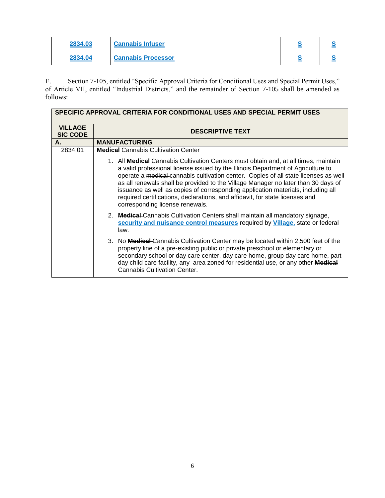| 2834.03 | <b>Cannabis Infuser</b>   |  |  |
|---------|---------------------------|--|--|
| 2834.04 | <b>Cannabis Processor</b> |  |  |

E. Section 7-105, entitled "Specific Approval Criteria for Conditional Uses and Special Permit Uses," of Article VII, entitled "Industrial Districts," and the remainder of Section 7-105 shall be amended as follows:

|                                   | SPECIFIC APPROVAL CRITERIA FOR CONDITIONAL USES AND SPECIAL PERMIT USES                                                                                                                                                                                                                                                                                                                                                                                                                                                                                    |  |
|-----------------------------------|------------------------------------------------------------------------------------------------------------------------------------------------------------------------------------------------------------------------------------------------------------------------------------------------------------------------------------------------------------------------------------------------------------------------------------------------------------------------------------------------------------------------------------------------------------|--|
| <b>VILLAGE</b><br><b>SIC CODE</b> | <b>DESCRIPTIVE TEXT</b>                                                                                                                                                                                                                                                                                                                                                                                                                                                                                                                                    |  |
| А.                                | <b>MANUFACTURING</b>                                                                                                                                                                                                                                                                                                                                                                                                                                                                                                                                       |  |
| 2834.01                           | <b>Medical</b> Cannabis Cultivation Center                                                                                                                                                                                                                                                                                                                                                                                                                                                                                                                 |  |
|                                   | 1. All Medical Cannabis Cultivation Centers must obtain and, at all times, maintain<br>a valid professional license issued by the Illinois Department of Agriculture to<br>operate a medical cannabis cultivation center. Copies of all state licenses as well<br>as all renewals shall be provided to the Village Manager no later than 30 days of<br>issuance as well as copies of corresponding application materials, including all<br>required certifications, declarations, and affidavit, for state licenses and<br>corresponding license renewals. |  |
|                                   | 2. Medical-Cannabis Cultivation Centers shall maintain all mandatory signage,<br>security and nuisance control measures required by Village, state or federal<br>law.                                                                                                                                                                                                                                                                                                                                                                                      |  |
|                                   | 3. No <b>Medical</b> Cannabis Cultivation Center may be located within 2,500 feet of the<br>property line of a pre-existing public or private preschool or elementary or<br>secondary school or day care center, day care home, group day care home, part<br>day child care facility, any area zoned for residential use, or any other Medical<br><b>Cannabis Cultivation Center.</b>                                                                                                                                                                      |  |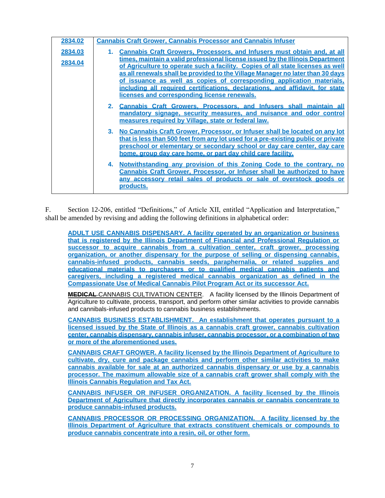| 2834.02            | <b>Cannabis Craft Grower, Cannabis Processor and Cannabis Infuser</b>                                                                                                                                                                                                                                                                                                                                                                                                                                                                                                                                                                                                                             |
|--------------------|---------------------------------------------------------------------------------------------------------------------------------------------------------------------------------------------------------------------------------------------------------------------------------------------------------------------------------------------------------------------------------------------------------------------------------------------------------------------------------------------------------------------------------------------------------------------------------------------------------------------------------------------------------------------------------------------------|
| 2834.03<br>2834.04 | <b>Cannabis Craft Growers, Processors, and Infusers must obtain and, at all</b><br>times, maintain a valid professional license issued by the Illinois Department<br>of Agriculture to operate such a facility. Copies of all state licenses as well<br>as all renewals shall be provided to the Village Manager no later than 30 days<br>of issuance as well as copies of corresponding application materials,<br>including all required certifications, declarations, and affidavit, for state<br>licenses and corresponding license renewals.<br>2. Cannabis Craft Growers, Processors, and Infusers shall maintain all<br>mandatory signage, security measures, and nuisance and odor control |
|                    | measures required by Village, state or federal law.<br>3. No Cannabis Craft Grower, Processor, or Infuser shall be located on any lot<br><u>that is less than 500 feet from any lot used for a pre-existing public or private</u><br>preschool or elementary or secondary school or day care center, day care<br>home, group day care home, or part day child care facility.<br>Notwithstanding any provision of this Zoning Code to the contrary, no<br>4.<br><b>Cannabis Craft Grower, Processor, or Infuser shall be authorized to have</b><br>any accessory retail sales of products or sale of overstock goods or<br><u>products.</u>                                                        |

F. Section 12-206, entitled "Definitions," of Article XII, entitled "Application and Interpretation," shall be amended by revising and adding the following definitions in alphabetical order:

**ADULT USE CANNABIS DISPENSARY. A facility operated by an organization or business that is registered by the Illinois Department of Financial and Professional Regulation or successor to acquire cannabis from a cultivation center, craft grower, processing organization, or another dispensary for the purpose of selling or dispensing cannabis, cannabis-infused products, cannabis seeds, paraphernalia, or related supplies and educational materials to purchasers or to qualified medical cannabis patients and caregivers, including a registered medical cannabis organization as defined in the Compassionate Use of Medical Cannabis Pilot Program Act or its successor Act.**

**MEDICAL** CANNABIS CULTIVATION CENTER. A facility licensed by the Illinois Department of Agriculture to cultivate, process, transport, and perform other similar activities to provide cannabis and cannibals-infused products to cannabis business establishments.

**CANNABIS BUSINESS ESTABLISHMENT. An establishment that operates pursuant to a licensed issued by the State of Illinois as a cannabis craft grower, cannabis cultivation center, cannabis dispensary, cannabis infuser, cannabis processor, or a combination of two or more of the aforementioned uses.**

**CANNABIS CRAFT GROWER. A facility licensed by the Illinois Department of Agriculture to cultivate, dry, cure and package cannabis and perform other similar activities to make cannabis available for sale at an authorized cannabis dispensary or use by a cannabis processor. The maximum allowable size of a cannabis craft grower shall comply with the Illinois Cannabis Regulation and Tax Act.** 

**CANNABIS INFUSER OR INFUSER ORGANIZATION. A facility licensed by the Illinois Department of Agriculture that directly incorporates cannabis or cannabis concentrate to produce cannabis-infused products.** 

**CANNABIS PROCESSOR OR PROCESSING ORGANIZATION. A facility licensed by the Illinois Department of Agriculture that extracts constituent chemicals or compounds to produce cannabis concentrate into a resin, oil, or other form.**